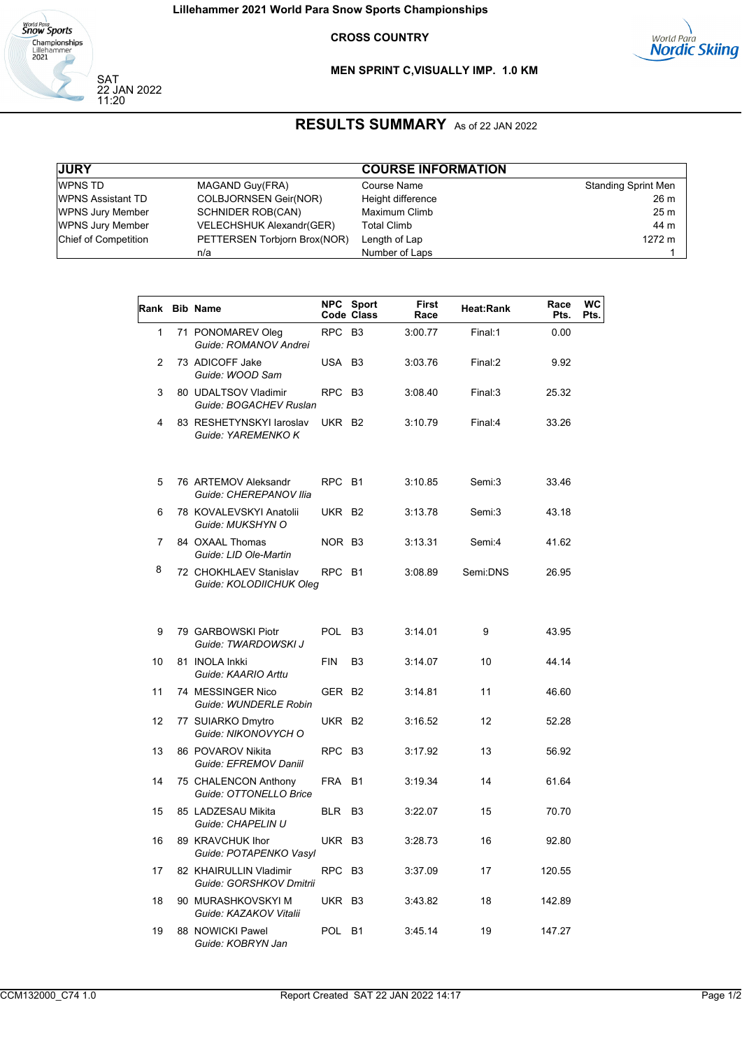

22 JAN 2022 11:20

## **CROSS COUNTRY**



## **MEN SPRINT C, VISUALLY IMP. 1.0 KM**

## **RESULTS SUMMARY** As of 22 JAN 2022

| <b>JURY</b>                 |                              | <b>COURSE INFORMATION</b> |                            |
|-----------------------------|------------------------------|---------------------------|----------------------------|
| WPNS TD                     | MAGAND Guy(FRA)              | Course Name               | <b>Standing Sprint Men</b> |
| <b>WPNS Assistant TD</b>    | <b>COLBJORNSEN Geir(NOR)</b> | Height difference         | 26 m                       |
| <b>WPNS Jury Member</b>     | <b>SCHNIDER ROB(CAN)</b>     | Maximum Climb             | 25 <sub>m</sub>            |
| <b>WPNS Jury Member</b>     | VELECHSHUK Alexandr(GER)     | <b>Total Climb</b>        | 44 m                       |
| <b>Chief of Competition</b> | PETTERSEN Torbjorn Brox(NOR) | Length of Lap             | 1272 m                     |
|                             | n/a                          | Number of Laps            |                            |

| Rank         | <b>Bib Name</b>                                   | <b>NPC</b>         | <b>Sport</b><br>Code Class | <b>First</b><br>Race | Heat:Rank | Race<br>Pts. | WC<br>Pts. |
|--------------|---------------------------------------------------|--------------------|----------------------------|----------------------|-----------|--------------|------------|
| $\mathbf{1}$ | 71 PONOMAREV Oleg<br>Guide: ROMANOV Andrei        | <b>RPC</b>         | B <sub>3</sub>             | 3:00.77              | Final:1   | 0.00         |            |
| 2            | 73 ADICOFF Jake<br>Guide: WOOD Sam                | USA                | B <sub>3</sub>             | 3:03.76              | Final:2   | 9.92         |            |
| 3            | 80 UDALTSOV Vladimir<br>Guide: BOGACHEV Ruslan    | <b>RPC</b>         | B <sub>3</sub>             | 3:08.40              | Final:3   | 25.32        |            |
| 4            | 83 RESHETYNSKYI laroslav<br>Guide: YAREMENKO K    | UKR B2             |                            | 3:10.79              | Final:4   | 33.26        |            |
| 5            | 76 ARTEMOV Aleksandr<br>Guide: CHEREPANOV Ilia    | RPC B1             |                            | 3:10.85              | Semi:3    | 33.46        |            |
| 6            | 78 KOVALEVSKYI Anatolii<br>Guide: MUKSHYN O       | UKR B2             |                            | 3:13.78              | Semi:3    | 43.18        |            |
| 7            | 84 OXAAL Thomas<br>Guide: LID Ole-Martin          | NOR B3             |                            | 3:13.31              | Semi:4    | 41.62        |            |
| 8            | 72 CHOKHLAEV Stanislav<br>Guide: KOLODIICHUK Oleg | RPC                | <b>B1</b>                  | 3:08.89              | Semi:DNS  | 26.95        |            |
| 9            | 79 GARBOWSKI Piotr<br>Guide: TWARDOWSKI J         | <b>POL</b>         | B <sub>3</sub>             | 3:14.01              | 9         | 43.95        |            |
| 10           | 81 INOLA Inkki<br>Guide: KAARIO Arttu             | FIN                | B <sub>3</sub>             | 3:14.07              | 10        | 44.14        |            |
| 11           | 74 MESSINGER Nico<br>Guide: WUNDERLE Robin        | GER B <sub>2</sub> |                            | 3:14.81              | 11        | 46.60        |            |
| 12           | 77 SUIARKO Dmytro<br>Guide: NIKONOVYCH O          | UKR B2             |                            | 3:16.52              | 12        | 52.28        |            |
| 13           | 86 POVAROV Nikita<br>Guide: EFREMOV Daniil        | <b>RPC</b>         | B <sub>3</sub>             | 3:17.92              | 13        | 56.92        |            |
| 14           | 75 CHALENCON Anthony<br>Guide: OTTONELLO Brice    | FRA                | <b>B1</b>                  | 3:19.34              | 14        | 61.64        |            |
| 15           | 85 LADZESAU Mikita<br>Guide: CHAPELIN U           | <b>BLR</b>         | B3                         | 3:22.07              | 15        | 70.70        |            |
| 16           | 89 KRAVCHUK Ihor<br>Guide: POTAPENKO Vasyl        | UKR B3             |                            | 3:28.73              | 16        | 92.80        |            |
| 17           | 82 KHAIRULLIN Vladimir<br>Guide: GORSHKOV Dmitrii | <b>RPC</b>         | B <sub>3</sub>             | 3:37.09              | 17        | 120.55       |            |
| 18           | 90 MURASHKOVSKYI M<br>Guide: KAZAKOV Vitalii      | UKR B3             |                            | 3:43.82              | 18        | 142.89       |            |
| 19           | 88 NOWICKI Pawel<br>Guide: KOBRYN Jan             | POL                | <b>B1</b>                  | 3:45.14              | 19        | 147.27       |            |